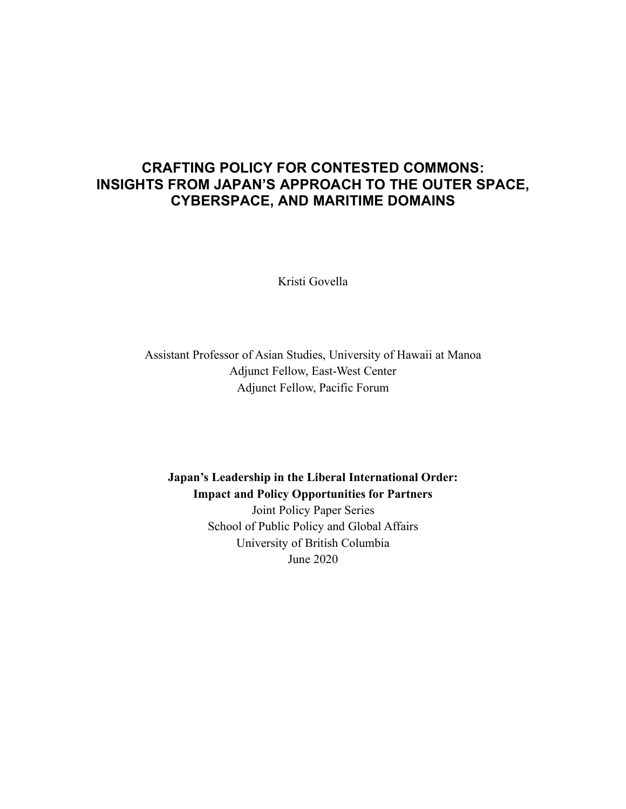### **CRAFTING POLICY FOR CONTESTED COMMONS: INSIGHTS FROM JAPAN'S APPROACH TO THE OUTER SPACE, CYBERSPACE, AND MARITIME DOMAINS**

Kristi Govella

Assistant Professor of Asian Studies, University of Hawaii at Manoa Adjunct Fellow, East-West Center Adjunct Fellow, Pacific Forum

**Japan's Leadership in the Liberal International Order: Impact and Policy Opportunities for Partners** Joint Policy Paper Series

School of Public Policy and Global Affairs University of British Columbia June 2020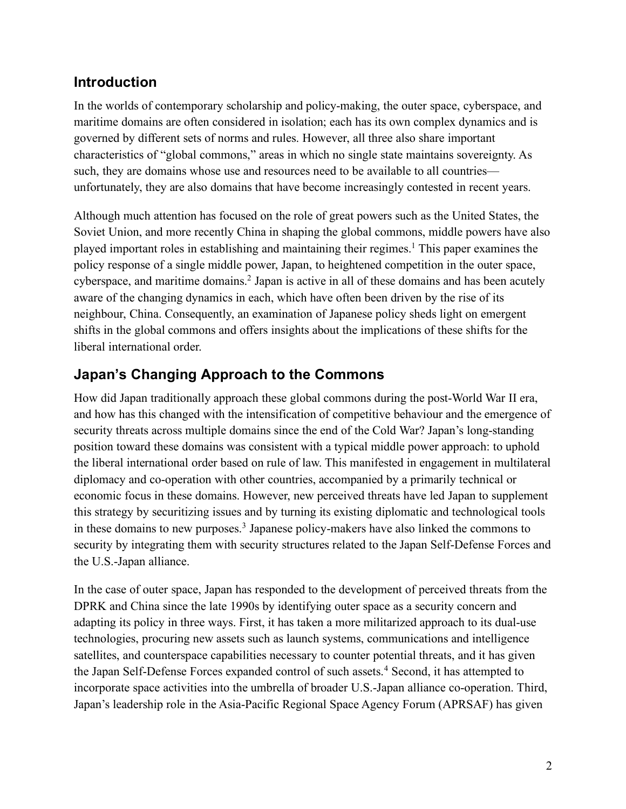# **Introduction**

In the worlds of contemporary scholarship and policy-making, the outer space, cyberspace, and maritime domains are often considered in isolation; each has its own complex dynamics and is governed by different sets of norms and rules. However, all three also share important characteristics of "global commons," areas in which no single state maintains sovereignty. As such, they are domains whose use and resources need to be available to all countries unfortunately, they are also domains that have become increasingly contested in recent years.

Although much attention has focused on the role of great powers such as the United States, the Soviet Union, and more recently China in shaping the global commons, middle powers have also played important roles in establishing and maintaining their regimes.1 This paper examines the policy response of a single middle power, Japan, to heightened competition in the outer space, cyberspace, and maritime domains.<sup>2</sup> Japan is active in all of these domains and has been acutely aware of the changing dynamics in each, which have often been driven by the rise of its neighbour, China. Consequently, an examination of Japanese policy sheds light on emergent shifts in the global commons and offers insights about the implications of these shifts for the liberal international order.

## **Japan's Changing Approach to the Commons**

How did Japan traditionally approach these global commons during the post-World War II era, and how has this changed with the intensification of competitive behaviour and the emergence of security threats across multiple domains since the end of the Cold War? Japan's long-standing position toward these domains was consistent with a typical middle power approach: to uphold the liberal international order based on rule of law. This manifested in engagement in multilateral diplomacy and co-operation with other countries, accompanied by a primarily technical or economic focus in these domains. However, new perceived threats have led Japan to supplement this strategy by securitizing issues and by turning its existing diplomatic and technological tools in these domains to new purposes.3 Japanese policy-makers have also linked the commons to security by integrating them with security structures related to the Japan Self-Defense Forces and the U.S.-Japan alliance.

In the case of outer space, Japan has responded to the development of perceived threats from the DPRK and China since the late 1990s by identifying outer space as a security concern and adapting its policy in three ways. First, it has taken a more militarized approach to its dual-use technologies, procuring new assets such as launch systems, communications and intelligence satellites, and counterspace capabilities necessary to counter potential threats, and it has given the Japan Self-Defense Forces expanded control of such assets.<sup>4</sup> Second, it has attempted to incorporate space activities into the umbrella of broader U.S.-Japan alliance co-operation. Third, Japan's leadership role in the Asia-Pacific Regional Space Agency Forum (APRSAF) has given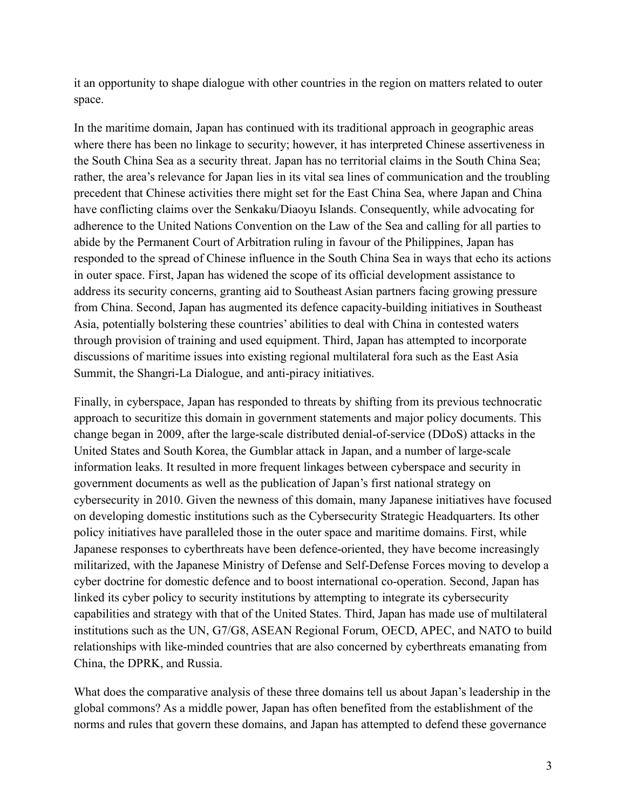it an opportunity to shape dialogue with other countries in the region on matters related to outer space.

In the maritime domain, Japan has continued with its traditional approach in geographic areas where there has been no linkage to security; however, it has interpreted Chinese assertiveness in the South China Sea as a security threat. Japan has no territorial claims in the South China Sea; rather, the area's relevance for Japan lies in its vital sea lines of communication and the troubling precedent that Chinese activities there might set for the East China Sea, where Japan and China have conflicting claims over the Senkaku/Diaoyu Islands. Consequently, while advocating for adherence to the United Nations Convention on the Law of the Sea and calling for all parties to abide by the Permanent Court of Arbitration ruling in favour of the Philippines, Japan has responded to the spread of Chinese influence in the South China Sea in ways that echo its actions in outer space. First, Japan has widened the scope of its official development assistance to address its security concerns, granting aid to Southeast Asian partners facing growing pressure from China. Second, Japan has augmented its defence capacity-building initiatives in Southeast Asia, potentially bolstering these countries' abilities to deal with China in contested waters through provision of training and used equipment. Third, Japan has attempted to incorporate discussions of maritime issues into existing regional multilateral fora such as the East Asia Summit, the Shangri-La Dialogue, and anti-piracy initiatives.

Finally, in cyberspace, Japan has responded to threats by shifting from its previous technocratic approach to securitize this domain in government statements and major policy documents. This change began in 2009, after the large-scale distributed denial-of-service (DDoS) attacks in the United States and South Korea, the Gumblar attack in Japan, and a number of large-scale information leaks. It resulted in more frequent linkages between cyberspace and security in government documents as well as the publication of Japan's first national strategy on cybersecurity in 2010. Given the newness of this domain, many Japanese initiatives have focused on developing domestic institutions such as the Cybersecurity Strategic Headquarters. Its other policy initiatives have paralleled those in the outer space and maritime domains. First, while Japanese responses to cyberthreats have been defence-oriented, they have become increasingly militarized, with the Japanese Ministry of Defense and Self-Defense Forces moving to develop a cyber doctrine for domestic defence and to boost international co-operation. Second, Japan has linked its cyber policy to security institutions by attempting to integrate its cybersecurity capabilities and strategy with that of the United States. Third, Japan has made use of multilateral institutions such as the UN, G7/G8, ASEAN Regional Forum, OECD, APEC, and NATO to build relationships with like-minded countries that are also concerned by cyberthreats emanating from China, the DPRK, and Russia.

What does the comparative analysis of these three domains tell us about Japan's leadership in the global commons? As a middle power, Japan has often benefited from the establishment of the norms and rules that govern these domains, and Japan has attempted to defend these governance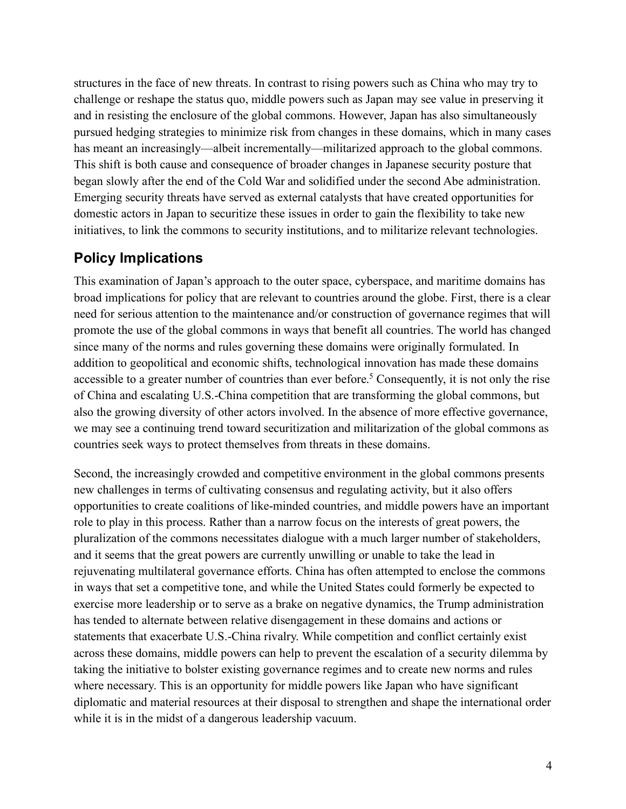structures in the face of new threats. In contrast to rising powers such as China who may try to challenge or reshape the status quo, middle powers such as Japan may see value in preserving it and in resisting the enclosure of the global commons. However, Japan has also simultaneously pursued hedging strategies to minimize risk from changes in these domains, which in many cases has meant an increasingly—albeit incrementally—militarized approach to the global commons. This shift is both cause and consequence of broader changes in Japanese security posture that began slowly after the end of the Cold War and solidified under the second Abe administration. Emerging security threats have served as external catalysts that have created opportunities for domestic actors in Japan to securitize these issues in order to gain the flexibility to take new initiatives, to link the commons to security institutions, and to militarize relevant technologies.

#### **Policy Implications**

This examination of Japan's approach to the outer space, cyberspace, and maritime domains has broad implications for policy that are relevant to countries around the globe. First, there is a clear need for serious attention to the maintenance and/or construction of governance regimes that will promote the use of the global commons in ways that benefit all countries. The world has changed since many of the norms and rules governing these domains were originally formulated. In addition to geopolitical and economic shifts, technological innovation has made these domains accessible to a greater number of countries than ever before.<sup>5</sup> Consequently, it is not only the rise of China and escalating U.S.-China competition that are transforming the global commons, but also the growing diversity of other actors involved. In the absence of more effective governance, we may see a continuing trend toward securitization and militarization of the global commons as countries seek ways to protect themselves from threats in these domains.

Second, the increasingly crowded and competitive environment in the global commons presents new challenges in terms of cultivating consensus and regulating activity, but it also offers opportunities to create coalitions of like-minded countries, and middle powers have an important role to play in this process. Rather than a narrow focus on the interests of great powers, the pluralization of the commons necessitates dialogue with a much larger number of stakeholders, and it seems that the great powers are currently unwilling or unable to take the lead in rejuvenating multilateral governance efforts. China has often attempted to enclose the commons in ways that set a competitive tone, and while the United States could formerly be expected to exercise more leadership or to serve as a brake on negative dynamics, the Trump administration has tended to alternate between relative disengagement in these domains and actions or statements that exacerbate U.S.-China rivalry. While competition and conflict certainly exist across these domains, middle powers can help to prevent the escalation of a security dilemma by taking the initiative to bolster existing governance regimes and to create new norms and rules where necessary. This is an opportunity for middle powers like Japan who have significant diplomatic and material resources at their disposal to strengthen and shape the international order while it is in the midst of a dangerous leadership vacuum.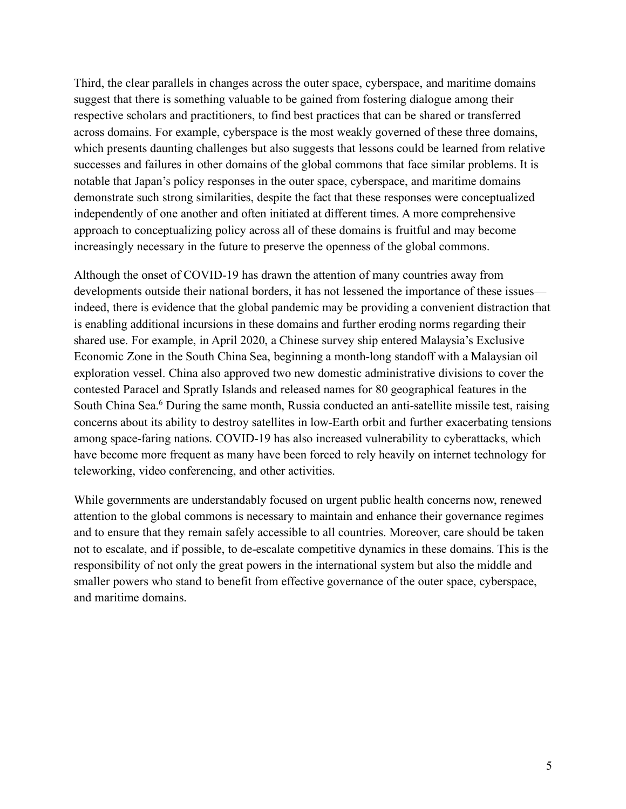Third, the clear parallels in changes across the outer space, cyberspace, and maritime domains suggest that there is something valuable to be gained from fostering dialogue among their respective scholars and practitioners, to find best practices that can be shared or transferred across domains. For example, cyberspace is the most weakly governed of these three domains, which presents daunting challenges but also suggests that lessons could be learned from relative successes and failures in other domains of the global commons that face similar problems. It is notable that Japan's policy responses in the outer space, cyberspace, and maritime domains demonstrate such strong similarities, despite the fact that these responses were conceptualized independently of one another and often initiated at different times. A more comprehensive approach to conceptualizing policy across all of these domains is fruitful and may become increasingly necessary in the future to preserve the openness of the global commons.

Although the onset of COVID-19 has drawn the attention of many countries away from developments outside their national borders, it has not lessened the importance of these issues indeed, there is evidence that the global pandemic may be providing a convenient distraction that is enabling additional incursions in these domains and further eroding norms regarding their shared use. For example, in April 2020, a Chinese survey ship entered Malaysia's Exclusive Economic Zone in the South China Sea, beginning a month-long standoff with a Malaysian oil exploration vessel. China also approved two new domestic administrative divisions to cover the contested Paracel and Spratly Islands and released names for 80 geographical features in the South China Sea.<sup>6</sup> During the same month, Russia conducted an anti-satellite missile test, raising concerns about its ability to destroy satellites in low-Earth orbit and further exacerbating tensions among space-faring nations. COVID-19 has also increased vulnerability to cyberattacks, which have become more frequent as many have been forced to rely heavily on internet technology for teleworking, video conferencing, and other activities.

While governments are understandably focused on urgent public health concerns now, renewed attention to the global commons is necessary to maintain and enhance their governance regimes and to ensure that they remain safely accessible to all countries. Moreover, care should be taken not to escalate, and if possible, to de-escalate competitive dynamics in these domains. This is the responsibility of not only the great powers in the international system but also the middle and smaller powers who stand to benefit from effective governance of the outer space, cyberspace, and maritime domains.